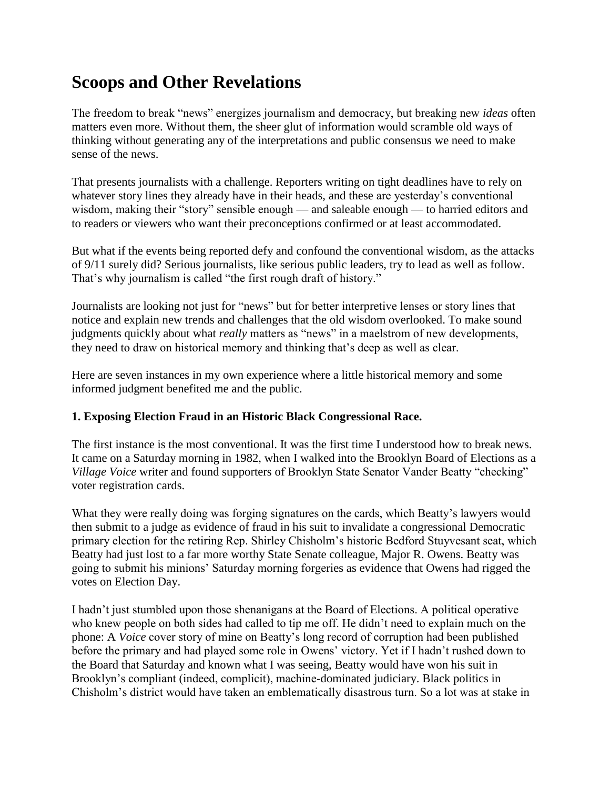# **Scoops and Other Revelations**

The freedom to break "news" energizes journalism and democracy, but breaking new *ideas* often matters even more. Without them, the sheer glut of information would scramble old ways of thinking without generating any of the interpretations and public consensus we need to make sense of the news.

That presents journalists with a challenge. Reporters writing on tight deadlines have to rely on whatever story lines they already have in their heads, and these are yesterday's conventional wisdom, making their "story" sensible enough — and saleable enough — to harried editors and to readers or viewers who want their preconceptions confirmed or at least accommodated.

But what if the events being reported defy and confound the conventional wisdom, as the attacks of 9/11 surely did? Serious journalists, like serious public leaders, try to lead as well as follow. That's why journalism is called "the first rough draft of history."

Journalists are looking not just for "news" but for better interpretive lenses or story lines that notice and explain new trends and challenges that the old wisdom overlooked. To make sound judgments quickly about what *really* matters as "news" in a maelstrom of new developments, they need to draw on historical memory and thinking that's deep as well as clear.

Here are seven instances in my own experience where a little historical memory and some informed judgment benefited me and the public.

# **1. Exposing Election Fraud in an Historic Black Congressional Race.**

The first instance is the most conventional. It was the first time I understood how to break news. It came on a Saturday morning in 1982, when I walked into the Brooklyn Board of Elections as a *Village Voice* writer and found supporters of Brooklyn State Senator Vander Beatty "checking" voter registration cards.

What they were really doing was forging signatures on the cards, which Beatty's lawyers would then submit to a judge as evidence of fraud in his suit to invalidate a congressional Democratic primary election for the retiring Rep. Shirley Chisholm's historic Bedford Stuyvesant seat, which Beatty had just lost to a far more worthy State Senate colleague, Major R. Owens. Beatty was going to submit his minions' Saturday morning forgeries as evidence that Owens had rigged the votes on Election Day.

I hadn't just stumbled upon those shenanigans at the Board of Elections. A political operative who knew people on both sides had called to tip me off. He didn't need to explain much on the phone: A *Voice* cover story of mine on Beatty's long record of corruption had been published before the primary and had played some role in Owens' victory. Yet if I hadn't rushed down to the Board that Saturday and known what I was seeing, Beatty would have won his suit in Brooklyn's compliant (indeed, complicit), machine-dominated judiciary. Black politics in Chisholm's district would have taken an emblematically disastrous turn. So a lot was at stake in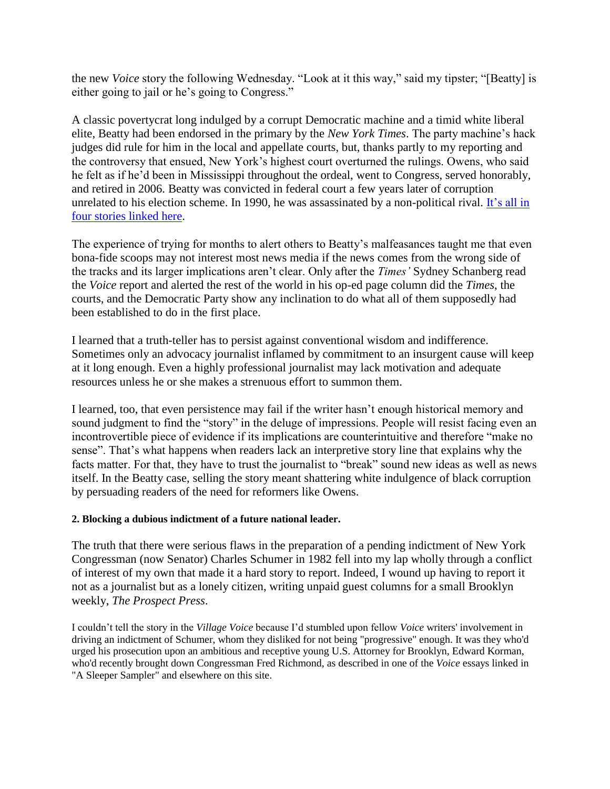the new *Voice* story the following Wednesday. "Look at it this way," said my tipster; "[Beatty] is either going to jail or he's going to Congress."

A classic povertycrat long indulged by a corrupt Democratic machine and a timid white liberal elite, Beatty had been endorsed in the primary by the *New York Times*. The party machine's hack judges did rule for him in the local and appellate courts, but, thanks partly to my reporting and the controversy that ensued, New York's highest court overturned the rulings. Owens, who said he felt as if he'd been in Mississippi throughout the ordeal, went to Congress, served honorably, and retired in 2006. Beatty was convicted in federal court a few years later of corruption unrelated to his election scheme. In 1990, he was assassinated by a non-political rival. [It's all in](http://jimsleeper.com/articles/scoops&revelations/Vender%20Beatty.pdf)  [four stories linked here.](http://jimsleeper.com/articles/scoops&revelations/Vender%20Beatty.pdf)

The experience of trying for months to alert others to Beatty's malfeasances taught me that even bona-fide scoops may not interest most news media if the news comes from the wrong side of the tracks and its larger implications aren't clear. Only after the *Times'* Sydney Schanberg read the *Voice* report and alerted the rest of the world in his op-ed page column did the *Times*, the courts, and the Democratic Party show any inclination to do what all of them supposedly had been established to do in the first place.

I learned that a truth-teller has to persist against conventional wisdom and indifference. Sometimes only an advocacy journalist inflamed by commitment to an insurgent cause will keep at it long enough. Even a highly professional journalist may lack motivation and adequate resources unless he or she makes a strenuous effort to summon them.

I learned, too, that even persistence may fail if the writer hasn't enough historical memory and sound judgment to find the "story" in the deluge of impressions. People will resist facing even an incontrovertible piece of evidence if its implications are counterintuitive and therefore "make no sense". That's what happens when readers lack an interpretive story line that explains why the facts matter. For that, they have to trust the journalist to "break" sound new ideas as well as news itself. In the Beatty case, selling the story meant shattering white indulgence of black corruption by persuading readers of the need for reformers like Owens.

# **2. Blocking a dubious indictment of a future national leader.**

The truth that there were serious flaws in the preparation of a pending indictment of New York Congressman (now Senator) Charles Schumer in 1982 fell into my lap wholly through a conflict of interest of my own that made it a hard story to report. Indeed, I wound up having to report it not as a journalist but as a lonely citizen, writing unpaid guest columns for a small Brooklyn weekly, *The Prospect Press*.

I couldn't tell the story in the *Village Voice* because I'd stumbled upon fellow *Voice* writers' involvement in driving an indictment of Schumer, whom they disliked for not being "progressive" enough. It was they who'd urged his prosecution upon an ambitious and receptive young U.S. Attorney for Brooklyn, Edward Korman, who'd recently brought down Congressman Fred Richmond, as described in one of the *Voice* essays linked in "A Sleeper Sampler" and elsewhere on this site.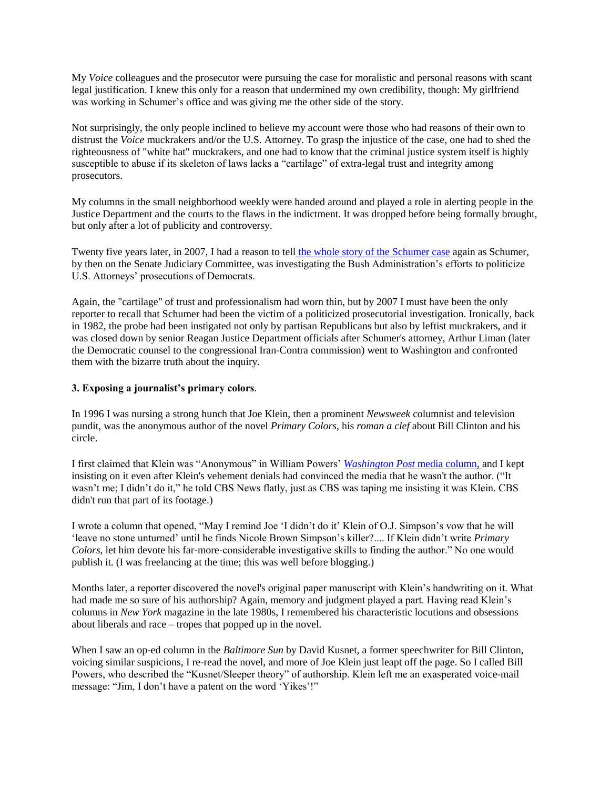My *Voice* colleagues and the prosecutor were pursuing the case for moralistic and personal reasons with scant legal justification. I knew this only for a reason that undermined my own credibility, though: My girlfriend was working in Schumer's office and was giving me the other side of the story.

Not surprisingly, the only people inclined to believe my account were those who had reasons of their own to distrust the *Voice* muckrakers and/or the U.S. Attorney. To grasp the injustice of the case, one had to shed the righteousness of "white hat" muckrakers, and one had to know that the criminal justice system itself is highly susceptible to abuse if its skeleton of laws lacks a "cartilage" of extra-legal trust and integrity among prosecutors.

My columns in the small neighborhood weekly were handed around and played a role in alerting people in the Justice Department and the courts to the flaws in the indictment. It was dropped before being formally brought, but only after a lot of publicity and controversy.

Twenty five years later, in 2007, I had a reason to tell [the whole story of the Schumer case](http://tpmcafe.talkingpointsmemo.com/2007/04/19/what_chuck_schumer_wants_from/) again as Schumer, by then on the Senate Judiciary Committee, was investigating the Bush Administration's efforts to politicize U.S. Attorneys' prosecutions of Democrats.

Again, the "cartilage" of trust and professionalism had worn thin, but by 2007 I must have been the only reporter to recall that Schumer had been the victim of a politicized prosecutorial investigation. Ironically, back in 1982, the probe had been instigated not only by partisan Republicans but also by leftist muckrakers, and it was closed down by senior Reagan Justice Department officials after Schumer's attorney, Arthur Liman (later the Democratic counsel to the congressional Iran-Contra commission) went to Washington and confronted them with the bizarre truth about the inquiry.

#### **3. Exposing a journalist's primary colors***.*

In 1996 I was nursing a strong hunch that Joe Klein, then a prominent *Newsweek* columnist and television pundit, was the anonymous author of the novel *Primary Colors*, his *roman a clef* about Bill Clinton and his circle.

I first claimed that Klein was "Anonymous" in William Powers' *[Washington Post](http://jimsleeper.com/articles/signature-pieces/Joe%20Klein%20and%20my%20scoop%20on%20Primary%20Colors,%20Wall%20St.%20Journal,%20WashPost,%201996.pdf)* media column, and I kept insisting on it even after Klein's vehement denials had convinced the media that he wasn't the author. ("It wasn't me; I didn't do it," he told CBS News flatly, just as CBS was taping me insisting it was Klein. CBS didn't run that part of its footage.)

I wrote a column that opened, "May I remind Joe 'I didn't do it' Klein of O.J. Simpson's vow that he will ‗leave no stone unturned' until he finds Nicole Brown Simpson's killer?.... If Klein didn't write *Primary Colors*, let him devote his far-more-considerable investigative skills to finding the author." No one would publish it. (I was freelancing at the time; this was well before blogging.)

Months later, a reporter discovered the novel's original paper manuscript with Klein's handwriting on it. What had made me so sure of his authorship? Again, memory and judgment played a part. Having read Klein's columns in *New York* magazine in the late 1980s, I remembered his characteristic locutions and obsessions about liberals and race – tropes that popped up in the novel.

When I saw an op-ed column in the *Baltimore Sun* by David Kusnet, a former speechwriter for Bill Clinton, voicing similar suspicions, I re-read the novel, and more of Joe Klein just leapt off the page. So I called Bill Powers, who described the "Kusnet/Sleeper theory" of authorship. Klein left me an exasperated voice-mail message: "Jim, I don't have a patent on the word 'Yikes'!"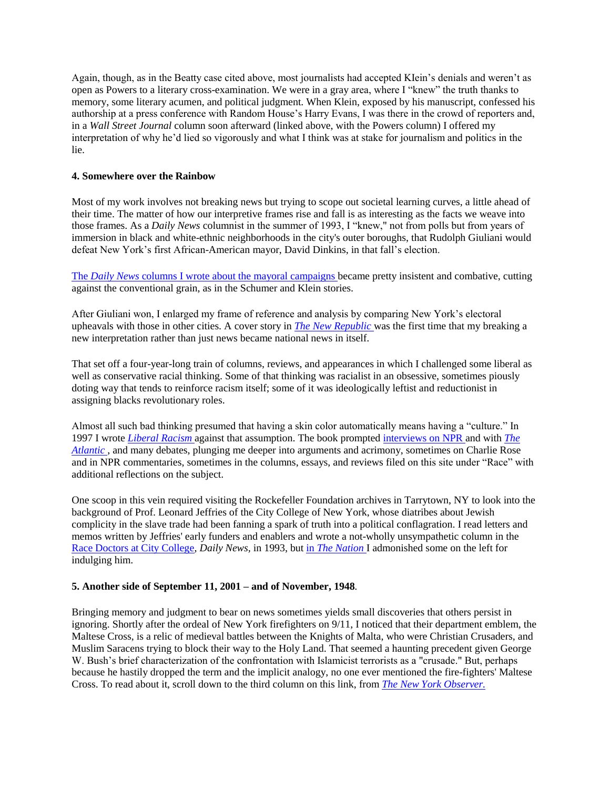Again, though, as in the Beatty case cited above, most journalists had accepted KIein's denials and weren't as open as Powers to a literary cross-examination. We were in a gray area, where I "knew" the truth thanks to memory, some literary acumen, and political judgment. When Klein, exposed by his manuscript, confessed his authorship at a press conference with Random House's Harry Evans, I was there in the crowd of reporters and, in a *Wall Street Journal* column soon afterward (linked above, with the Powers column) I offered my interpretation of why he'd lied so vigorously and what I think was at stake for journalism and politics in the lie.

#### **4. Somewhere over the Rainbow**

Most of my work involves not breaking news but trying to scope out societal learning curves, a little ahead of their time. The matter of how our interpretive frames rise and fall is as interesting as the facts we weave into those frames. As a *Daily News* columnist in the summer of 1993, I "knew," not from polls but from years of immersion in black and white-ethnic neighborhoods in the city's outer boroughs, that Rudolph Giuliani would defeat New York's first African-American mayor, David Dinkins, in that fall's election.

The *Daily News* [columns I wrote about the mayoral campaigns b](http://jimsleeper.com/articles/signature-pieces/NY%20Mayoral%20Election,%20Giuliani,%20Dinkins,%201993.pdf)ecame pretty insistent and combative, cutting against the conventional grain, as in the Schumer and Klein stories.

After Giuliani won, I enlarged my frame of reference and analysis by comparing New York's electoral upheavals with those in other cities. A cover story in *[The New Republic](http://jimsleeper.com/articles/signature-pieces/End%20of%20the%20Rainbow,%20New%20Republic,%201993.pdf)* was the first time that my breaking a new interpretation rather than just news became national news in itself.

That set off a four-year-long train of columns, reviews, and appearances in which I challenged some liberal as well as conservative racial thinking. Some of that thinking was racialist in an obsessive, sometimes piously doting way that tends to reinforce racism itself; some of it was ideologically leftist and reductionist in assigning blacks revolutionary roles.

Almost all such bad thinking presumed that having a skin color automatically means having a "culture." In 1997 I wrote *[Liberal Racism](http://jimsleeper.com/articles/signature-pieces/Liberal%20Racism.pdf)* against that assumption. The book prompted [interviews on NPR a](http://jimsleeper.com/articles/scoops&revelations/NPR,%20Liberal%20Racism%20Interview.pdf)nd with *[The](http://www.theatlantic.com/unbound/bookauth/sleepint.htm)  [Atlantic](http://www.theatlantic.com/unbound/bookauth/sleepint.htm)* , and many debates, plunging me deeper into arguments and acrimony, sometimes on Charlie Rose and in NPR commentaries, sometimes in the columns, essays, and reviews filed on this site under "Race" with additional reflections on the subject.

One scoop in this vein required visiting the Rockefeller Foundation archives in Tarrytown, NY to look into the background of Prof. Leonard Jeffries of the City College of New York, whose diatribes about Jewish complicity in the slave trade had been fanning a spark of truth into a political conflagration. I read letters and memos written by Jeffries' early funders and enablers and wrote a not-wholly unsympathetic column in the [Race Doctors at City College,](http://jimsleeper.com/articles/signature-pieces/Race%20doctors,%20Leonard%20Jeffries,%20Daily%20News%201993.pdf) *Daily News,* in 1993, but in *[The Nation](http://jimsleeper.com/articles/signature-pieces/Blacks%20and%20Jews%20(Leonard%20Jeffries,%20LIRR%20massacre,%20Israel%20Massacre,%20early%201990s.pdf)* I admonished some on the left for indulging him.

# **5. Another side of September 11, 2001 – and of November, 1948***.*

Bringing memory and judgment to bear on news sometimes yields small discoveries that others persist in ignoring. Shortly after the ordeal of New York firefighters on 9/11, I noticed that their department emblem, the Maltese Cross, is a relic of medieval battles between the Knights of Malta, who were Christian Crusaders, and Muslim Saracens trying to block their way to the Holy Land. That seemed a haunting precedent given George W. Bush's brief characterization of the confrontation with Islamicist terrorists as a "crusade." But, perhaps because he hastily dropped the term and the implicit analogy, no one ever mentioned the fire-fighters' Maltese Cross. To read about it, scroll down to the third column on this link, from *[The New York Observer.](http://jimsleeper.com/articles/signature-pieces/9-11,%20day%20after,%20Daily%20News,%20NY%20Post,%20NPR.pdf)*